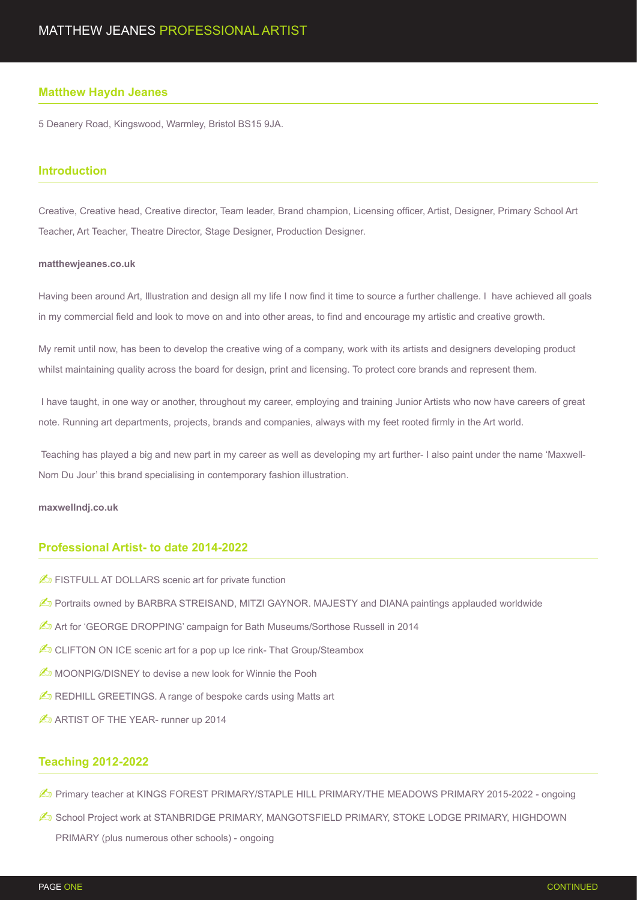#### **Matthew Haydn Jeanes**

5 Deanery Road, Kingswood, Warmley, Bristol BS15 9JA.

#### **Introduction**

Creative, Creative head, Creative director, Team leader, Brand champion, Licensing officer, Artist, Designer, Primary School Art Teacher, Art Teacher, Theatre Director, Stage Designer, Production Designer.

#### **matthewjeanes.co.uk**

Having been around Art, Illustration and design all my life I now find it time to source a further challenge. I have achieved all goals in my commercial field and look to move on and into other areas, to find and encourage my artistic and creative growth.

My remit until now, has been to develop the creative wing of a company, work with its artists and designers developing product whilst maintaining quality across the board for design, print and licensing. To protect core brands and represent them.

 I have taught, in one way or another, throughout my career, employing and training Junior Artists who now have careers of great note. Running art departments, projects, brands and companies, always with my feet rooted firmly in the Art world.

 Teaching has played a big and new part in my career as well as developing my art further- I also paint under the name 'Maxwell-Nom Du Jour' this brand specialising in contemporary fashion illustration.

#### **maxwellndj.co.uk**

#### **Professional Artist- to date 2014-2022**

- **E** FISTFULL AT DOLLARS scenic art for private function
- **O** Portraits owned by BARBRA STREISAND, MITZI GAYNOR. MAJESTY and DIANA paintings applauded worldwide
- Art for 'GEORGE DROPPING' campaign for Bath Museums/Sorthose Russell in 2014
- $\mathbb{Z}$  CLIFTON ON ICE scenic art for a pop up Ice rink- That Group/Steambox
- **A** MOONPIG/DISNEY to devise a new look for Winnie the Pooh
- $\triangle$  REDHILL GREETINGS. A range of bespoke cards using Matts art
- **AD ARTIST OF THE YEAR- runner up 2014**

#### **Teaching 2012-2022**

- **E** Primary teacher at KINGS FOREST PRIMARY/STAPLE HILL PRIMARY/THE MEADOWS PRIMARY 2015-2022 ongoing
- **ED School Project work at STANBRIDGE PRIMARY, MANGOTSFIELD PRIMARY, STOKE LODGE PRIMARY, HIGHDOWN** PRIMARY (plus numerous other schools) - ongoing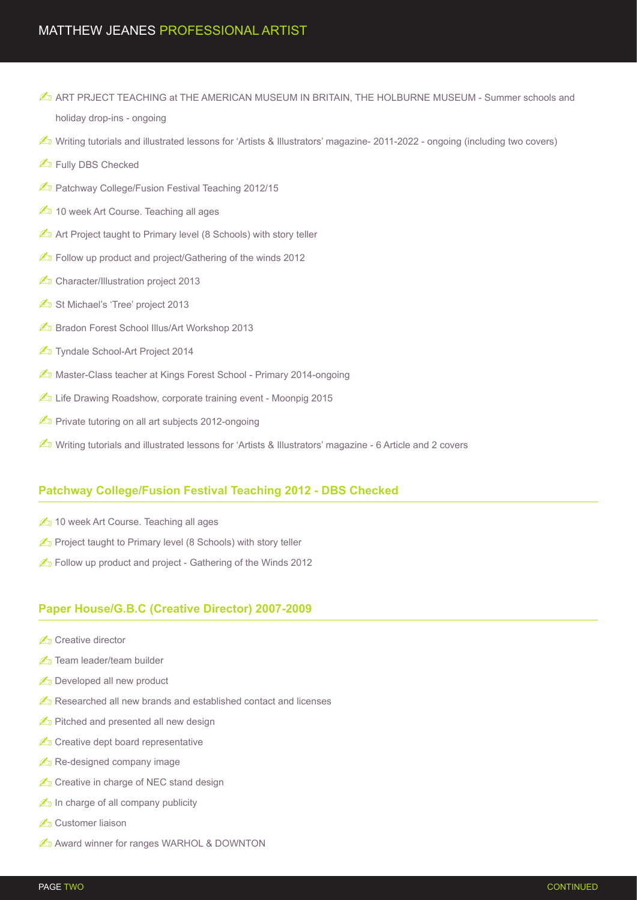- **ED ART PRJECT TEACHING at THE AMERICAN MUSEUM IN BRITAIN, THE HOLBURNE MUSEUM Summer schools and** holiday drop-ins - ongoing
- ✍ Writing tutorials and illustrated lessons for 'Artists & Illustrators' magazine- 2011-2022 ongoing (including two covers)
- **ED** Fully DBS Checked
- **En Patchway College/Fusion Festival Teaching 2012/15**
- **20 10 week Art Course. Teaching all ages**
- **E** Art Project taught to Primary level (8 Schools) with story teller
- ✍ Follow up product and project/Gathering of the winds 2012
- Character/Illustration project 2013
- St Michael's 'Tree' project 2013
- **En Bradon Forest School Illus/Art Workshop 2013**
- **Z** Tyndale School-Art Project 2014
- **E** Master-Class teacher at Kings Forest School Primary 2014-ongoing
- Life Drawing Roadshow, corporate training event Moonpig 2015
- *≰* Private tutoring on all art subjects 2012-ongoing
- **E** Writing tutorials and illustrated lessons for 'Artists & Illustrators' magazine 6 Article and 2 covers

# **Patchway College/Fusion Festival Teaching 2012 - DBS Checked**

- **△** 10 week Art Course. Teaching all ages
- project taught to Primary level (8 Schools) with story teller
- **E** Follow up product and project Gathering of the Winds 2012

# **Paper House/G.B.C (Creative Director) 2007-2009**

- ✍ Creative director
- **En Team leader/team builder**
- *A* Developed all new product
- **A**<sub>D</sub> Researched all new brands and established contact and licenses
- $\triangle$  Pitched and presented all new design
- *≰* Creative dept board representative
- $\mathbb{Z}$  Re-designed company image
- Creative in charge of NEC stand design
- $\mathbb{Z}_p$  In charge of all company publicity
- **Z**n Customer liaison
- **E** Award winner for ranges WARHOL & DOWNTON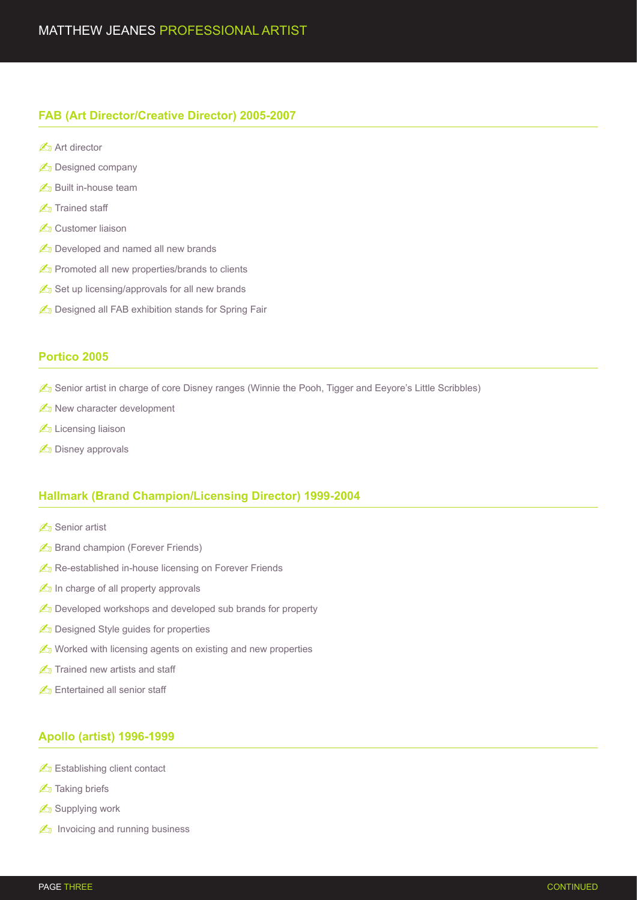## **FAB (Art Director/Creative Director) 2005-2007**

- **△** Art director
- **E** Designed company
- **E**<sub>D</sub> Built in-house team
- **En** Trained staff
- **E** Customer liaison
- **E** Developed and named all new brands
- promoted all new properties/brands to clients
- Set up licensing/approvals for all new brands
- **E** Designed all FAB exhibition stands for Spring Fair

## **Portico 2005**

- $\mathbb{Z}_D$  Senior artist in charge of core Disney ranges (Winnie the Pooh, Tigger and Eeyore's Little Scribbles)
- **E** New character development
- **E** Licensing liaison
- **E** Disney approvals

## **Hallmark (Brand Champion/Licensing Director) 1999-2004**

- **△** Senior artist
- **≰** Brand champion (Forever Friends)
- **E** Re-established in-house licensing on Forever Friends
- $\mathbb{Z}$  In charge of all property approvals
- *C* Developed workshops and developed sub brands for property
- **E** Designed Style guides for properties
- $\mathbb{Z}$  Worked with licensing agents on existing and new properties
- $\mathbb{Z}$  Trained new artists and staff
- **Entertained all senior staff**

### **Apollo (artist) 1996-1999**

- **Establishing client contact**
- **Z**<sub>D</sub> Taking briefs
- **E** Supplying work
- $\mathbb{Z}_n$  Invoicing and running business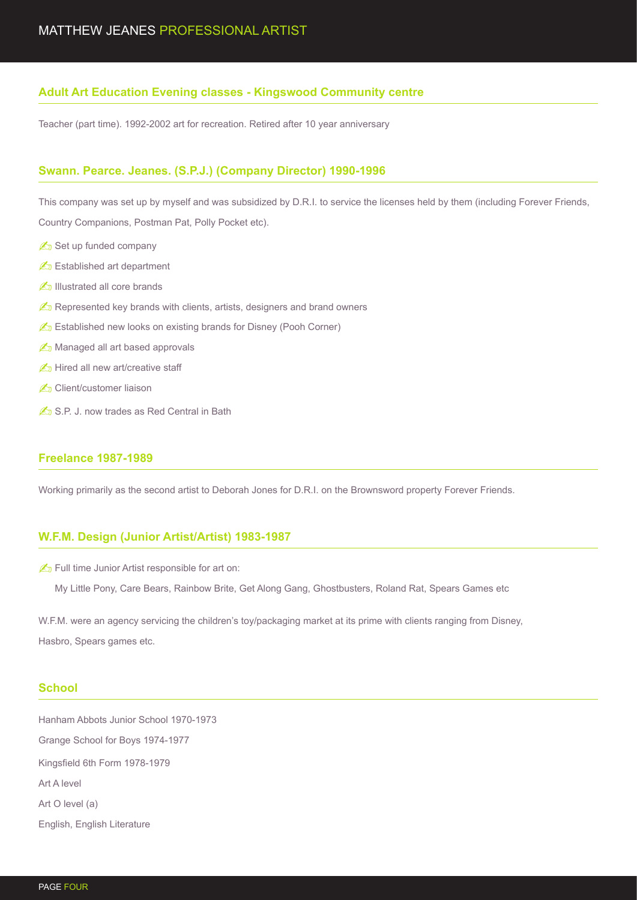## **Adult Art Education Evening classes - Kingswood Community centre**

Teacher (part time). 1992-2002 art for recreation. Retired after 10 year anniversary

### **Swann. Pearce. Jeanes. (S.P.J.) (Company Director) 1990-1996**

This company was set up by myself and was subsidized by D.R.I. to service the licenses held by them (including Forever Friends, Country Companions, Postman Pat, Polly Pocket etc).

- Set up funded company
- **Established art department**
- **E** Illustrated all core brands
- *C* Represented key brands with clients, artists, designers and brand owners
- **Established new looks on existing brands for Disney (Pooh Corner)**
- **E** Managed all art based approvals
- **△** Hired all new art/creative staff
- **«** Client/customer liaison
- S.P. J. now trades as Red Central in Bath

### **Freelance 1987-1989**

Working primarily as the second artist to Deborah Jones for D.R.I. on the Brownsword property Forever Friends.

### **W.F.M. Design (Junior Artist/Artist) 1983-1987**

**A** Full time Junior Artist responsible for art on:

✍ My Little Pony, Care Bears, Rainbow Brite, Get Along Gang, Ghostbusters, Roland Rat, Spears Games etc

W.F.M. were an agency servicing the children's toy/packaging market at its prime with clients ranging from Disney, Hasbro, Spears games etc.

#### **School**

Hanham Abbots Junior School 1970-1973 Grange School for Boys 1974-1977 Kingsfield 6th Form 1978-1979 Art A level Art O level (a) English, English Literature